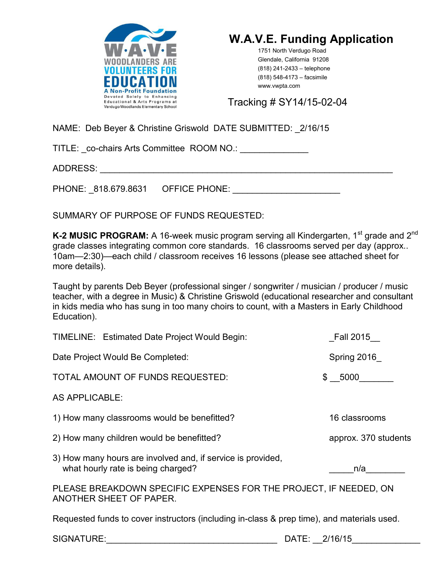



1751 North Verdugo Road Glendale, California 91208 (818) 241-2433 – telephone (818) 548-4173 – facsimile www.vwpta.com

Tracking # SY14/15-02-04

NAME: Deb Beyer & Christine Griswold DATE SUBMITTED: \_2/16/15

TITLE: \_co-chairs Arts Committee ROOM NO.: \_\_\_\_\_\_\_\_\_\_\_\_\_\_

ADDRESS: \_\_\_\_\_\_\_\_\_\_\_\_\_\_\_\_\_\_\_\_\_\_\_\_\_\_\_\_\_\_\_\_\_\_\_\_\_\_\_\_\_\_\_\_\_\_\_\_\_\_\_\_\_\_\_\_\_\_\_\_

PHONE: 818.679.8631 OFFICE PHONE:  $\blacksquare$ 

SUMMARY OF PURPOSE OF FUNDS REQUESTED:

K-2 MUSIC PROGRAM: A 16-week music program serving all Kindergarten, 1<sup>st</sup> grade and 2<sup>nd</sup> grade classes integrating common core standards. 16 classrooms served per day (approx.. 10am—2:30)—each child / classroom receives 16 lessons (please see attached sheet for more details).

Taught by parents Deb Beyer (professional singer / songwriter / musician / producer / music teacher, with a degree in Music) & Christine Griswold (educational researcher and consultant in kids media who has sung in too many choirs to count, with a Masters in Early Childhood Education).

| TIMELINE: Estimated Date Project Would Begin:                                                     | Fall 2015            |
|---------------------------------------------------------------------------------------------------|----------------------|
| Date Project Would Be Completed:                                                                  | Spring 2016          |
| TOTAL AMOUNT OF FUNDS REQUESTED:                                                                  | \$ 5000              |
| AS APPLICABLE:                                                                                    |                      |
| 1) How many classrooms would be benefitted?                                                       | 16 classrooms        |
| 2) How many children would be benefitted?                                                         | approx. 370 students |
| 3) How many hours are involved and, if service is provided,<br>what hourly rate is being charged? | n/a                  |
| PLEASE BREAKDOWN SPECIFIC EXPENSES FOR THE PROJECT, IF NEEDED, ON<br>ANOTHER SHEET OF PAPER.      |                      |
| Requested funds to cover instructors (including in-class & prep time), and materials used.        |                      |

SIGNATURE: The contract of the contract of the contract of the DATE:  $2/16/15$